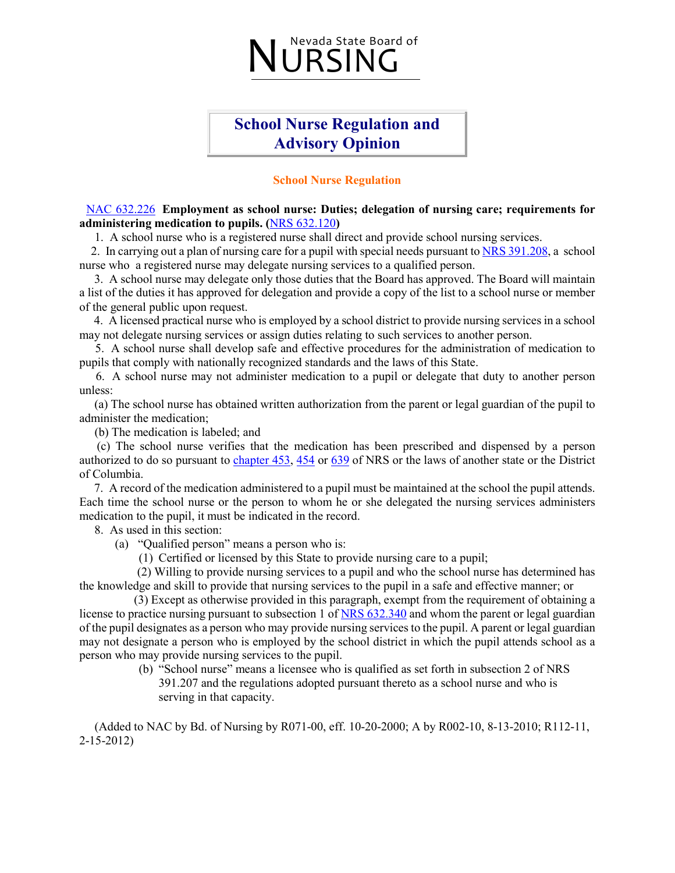### Nevada State Board of<br>IURSING

### **School Nurse Regulation and Advisory Opinion**

#### **School Nurse Regulation**

#### [NAC 632.226](http://www.leg.state.nv.us/NAC/NAC-632.html#NAC632Sec226) **Employment as school nurse: Duties; delegation of nursing care; requirements for administering medication to pupils. (**[NRS 632.120](http://www.leg.state.nv.us/NRS/NRS-632.html#NRS632sec120)**)**

1. A school nurse who is a registered nurse shall direct and provide school nursing services.

 2. In carrying out a plan of nursing care for a pupil with special needs pursuant t[o NRS 391.208,](http://www.leg.state.nv.us/NRS/NRS-391.html#NRS391sec208) a school nurse who a registered nurse may delegate nursing services to a qualified person.

 3. A school nurse may delegate only those duties that the Board has approved. The Board will maintain a list of the duties it has approved for delegation and provide a copy of the list to a school nurse or member of the general public upon request.

 4. A licensed practical nurse who is employed by a school district to provide nursing services in a school may not delegate nursing services or assign duties relating to such services to another person.

 5. A school nurse shall develop safe and effective procedures for the administration of medication to pupils that comply with nationally recognized standards and the laws of this State.

 6. A school nurse may not administer medication to a pupil or delegate that duty to another person unless:

 (a) The school nurse has obtained written authorization from the parent or legal guardian of the pupil to administer the medication;

(b) The medication is labeled; and

 (c) The school nurse verifies that the medication has been prescribed and dispensed by a person authorized to do so pursuant to [chapter 453,](http://www.leg.state.nv.us/NRS/NRS-453.html#NRS453) [454](http://www.leg.state.nv.us/NRS/NRS-454.html#NRS454) or [639](http://www.leg.state.nv.us/NRS/NRS-639.html#NRS639) of NRS or the laws of another state or the District of Columbia.

 7. A record of the medication administered to a pupil must be maintained at the school the pupil attends. Each time the school nurse or the person to whom he or she delegated the nursing services administers medication to the pupil, it must be indicated in the record.

8. As used in this section:

(a) "Qualified person" means a person who is:

(1) Certified or licensed by this State to provide nursing care to a pupil;

 (2) Willing to provide nursing services to a pupil and who the school nurse has determined has the knowledge and skill to provide that nursing services to the pupil in a safe and effective manner; or

 (3) Except as otherwise provided in this paragraph, exempt from the requirement of obtaining a license to practice nursing pursuant to subsection 1 of [NRS 632.340](http://www.leg.state.nv.us/NRS/NRS-632.html#NRS632sec340) and whom the parent or legal guardian of the pupil designates as a person who may provide nursing services to the pupil. A parent or legal guardian may not designate a person who is employed by the school district in which the pupil attends school as a person who may provide nursing services to the pupil.

(b) "School nurse" means a licensee who is qualified as set forth in subsection 2 of NRS 391.207 and the regulations adopted pursuant thereto as a school nurse and who is serving in that capacity.

 (Added to NAC by Bd. of Nursing by R071-00, eff. 10-20-2000; A by R002-10, 8-13-2010; R112-11, 2-15-2012)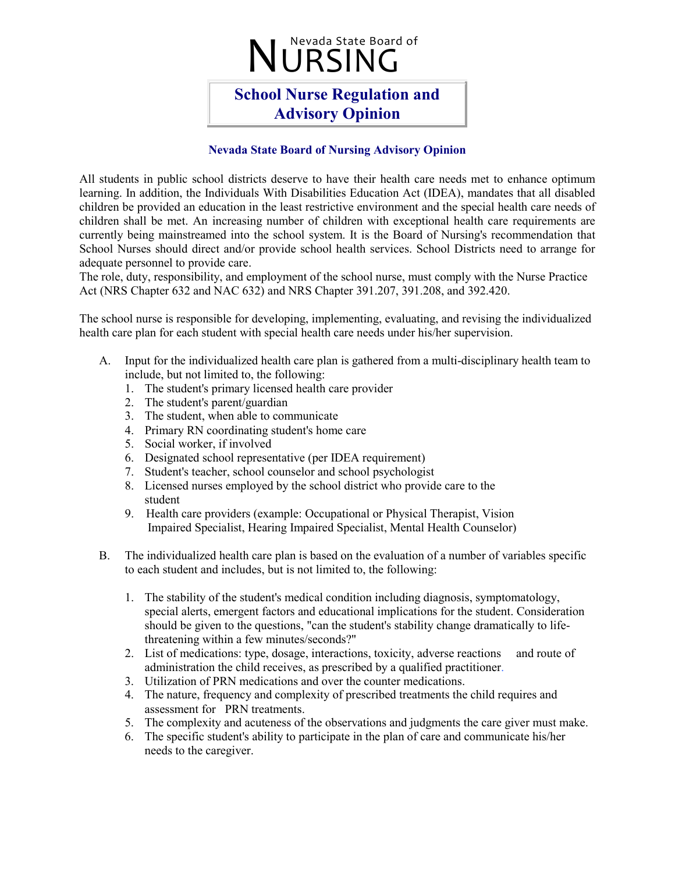## Nevada State Board of

### **School Nurse Regulation and Advisory Opinion**

#### **Nevada State Board of Nursing Advisory Opinion**

All students in public school districts deserve to have their health care needs met to enhance optimum learning. In addition, the Individuals With Disabilities Education Act (IDEA), mandates that all disabled children be provided an education in the least restrictive environment and the special health care needs of children shall be met. An increasing number of children with exceptional health care requirements are currently being mainstreamed into the school system. It is the Board of Nursing's recommendation that School Nurses should direct and/or provide school health services. School Districts need to arrange for adequate personnel to provide care.

The role, duty, responsibility, and employment of the school nurse, must comply with the Nurse Practice Act (NRS Chapter 632 and NAC 632) and NRS Chapter 391.207, 391.208, and 392.420.

The school nurse is responsible for developing, implementing, evaluating, and revising the individualized health care plan for each student with special health care needs under his/her supervision.

- A. Input for the individualized health care plan is gathered from a multi-disciplinary health team to include, but not limited to, the following:
	- 1. The student's primary licensed health care provider
	- 2. The student's parent/guardian
	- 3. The student, when able to communicate
	- 4. Primary RN coordinating student's home care
	- 5. Social worker, if involved
	- 6. Designated school representative (per IDEA requirement)
	- 7. Student's teacher, school counselor and school psychologist
	- 8. Licensed nurses employed by the school district who provide care to the student
	- 9. Health care providers (example: Occupational or Physical Therapist, Vision Impaired Specialist, Hearing Impaired Specialist, Mental Health Counselor)
- B. The individualized health care plan is based on the evaluation of a number of variables specific to each student and includes, but is not limited to, the following:
	- 1. The stability of the student's medical condition including diagnosis, symptomatology, special alerts, emergent factors and educational implications for the student. Consideration should be given to the questions, "can the student's stability change dramatically to lifethreatening within a few minutes/seconds?"
	- 2. List of medications: type, dosage, interactions, toxicity, adverse reactions and route of administration the child receives, as prescribed by a qualified practitioner.
	- 3. Utilization of PRN medications and over the counter medications.
	- 4. The nature, frequency and complexity of prescribed treatments the child requires and assessment for PRN treatments.
	- 5. The complexity and acuteness of the observations and judgments the care giver must make.
	- 6. The specific student's ability to participate in the plan of care and communicate his/her needs to the caregiver.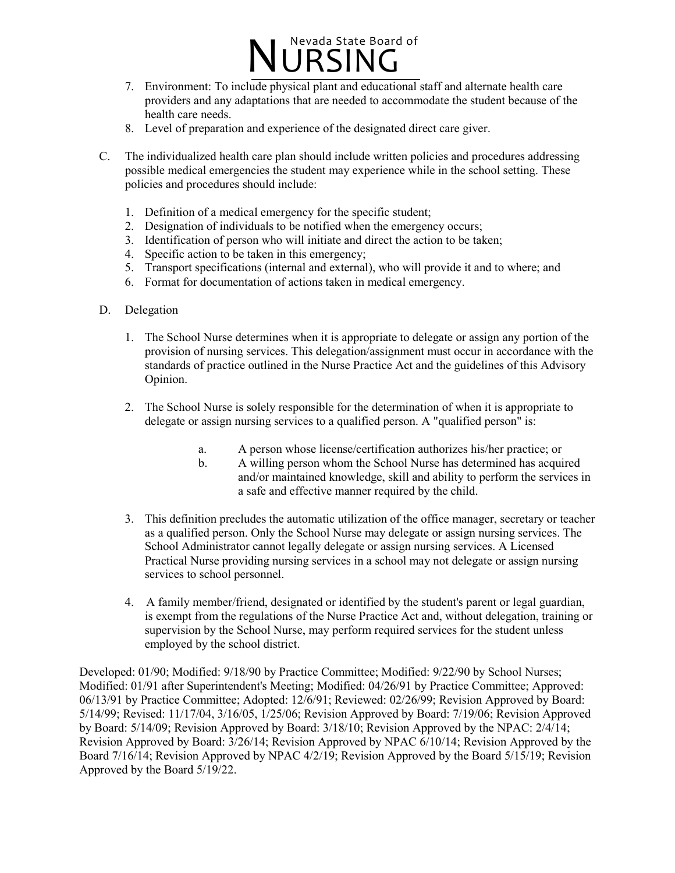

- 7. Environment: To include physical plant and educational staff and alternate health care providers and any adaptations that are needed to accommodate the student because of the health care needs.
- 8. Level of preparation and experience of the designated direct care giver.
- C. The individualized health care plan should include written policies and procedures addressing possible medical emergencies the student may experience while in the school setting. These policies and procedures should include:
	- 1. Definition of a medical emergency for the specific student;
	- 2. Designation of individuals to be notified when the emergency occurs;
	- 3. Identification of person who will initiate and direct the action to be taken;
	- 4. Specific action to be taken in this emergency;
	- 5. Transport specifications (internal and external), who will provide it and to where; and
	- 6. Format for documentation of actions taken in medical emergency.
- D. Delegation
	- 1. The School Nurse determines when it is appropriate to delegate or assign any portion of the provision of nursing services. This delegation/assignment must occur in accordance with the standards of practice outlined in the Nurse Practice Act and the guidelines of this Advisory Opinion.
	- 2. The School Nurse is solely responsible for the determination of when it is appropriate to delegate or assign nursing services to a qualified person. A "qualified person" is:
		- a. A person whose license/certification authorizes his/her practice; or
		- b. A willing person whom the School Nurse has determined has acquired and/or maintained knowledge, skill and ability to perform the services in a safe and effective manner required by the child.
	- 3. This definition precludes the automatic utilization of the office manager, secretary or teacher as a qualified person. Only the School Nurse may delegate or assign nursing services. The School Administrator cannot legally delegate or assign nursing services. A Licensed Practical Nurse providing nursing services in a school may not delegate or assign nursing services to school personnel.
	- 4. A family member/friend, designated or identified by the student's parent or legal guardian, is exempt from the regulations of the Nurse Practice Act and, without delegation, training or supervision by the School Nurse, may perform required services for the student unless employed by the school district.

Developed: 01/90; Modified: 9/18/90 by Practice Committee; Modified: 9/22/90 by School Nurses; Modified: 01/91 after Superintendent's Meeting; Modified: 04/26/91 by Practice Committee; Approved: 06/13/91 by Practice Committee; Adopted: 12/6/91; Reviewed: 02/26/99; Revision Approved by Board: 5/14/99; Revised: 11/17/04, 3/16/05, 1/25/06; Revision Approved by Board: 7/19/06; Revision Approved by Board: 5/14/09; Revision Approved by Board: 3/18/10; Revision Approved by the NPAC: 2/4/14; Revision Approved by Board: 3/26/14; Revision Approved by NPAC 6/10/14; Revision Approved by the Board 7/16/14; Revision Approved by NPAC 4/2/19; Revision Approved by the Board 5/15/19; Revision Approved by the Board 5/19/22.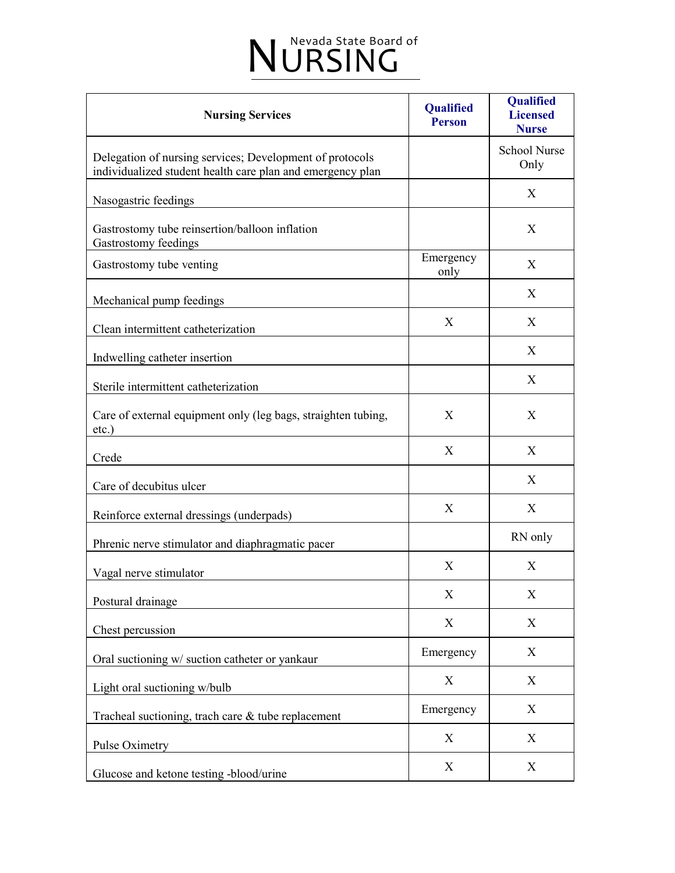| <b>Nursing Services</b>                                                                                                | <b>Qualified</b><br><b>Person</b> | <b>Qualified</b><br><b>Licensed</b><br><b>Nurse</b> |
|------------------------------------------------------------------------------------------------------------------------|-----------------------------------|-----------------------------------------------------|
| Delegation of nursing services; Development of protocols<br>individualized student health care plan and emergency plan |                                   | <b>School Nurse</b><br>Only                         |
| Nasogastric feedings                                                                                                   |                                   | X                                                   |
| Gastrostomy tube reinsertion/balloon inflation<br>Gastrostomy feedings                                                 |                                   | X                                                   |
| Gastrostomy tube venting                                                                                               | Emergency<br>only                 | X                                                   |
| Mechanical pump feedings                                                                                               |                                   | X                                                   |
| Clean intermittent catheterization                                                                                     | X                                 | X                                                   |
| Indwelling catheter insertion                                                                                          |                                   | X                                                   |
| Sterile intermittent catheterization                                                                                   |                                   | X                                                   |
| Care of external equipment only (leg bags, straighten tubing,<br>etc.)                                                 | X                                 | X                                                   |
| Crede                                                                                                                  | X                                 | X                                                   |
| Care of decubitus ulcer                                                                                                |                                   | X                                                   |
| Reinforce external dressings (underpads)                                                                               | X                                 | X                                                   |
| Phrenic nerve stimulator and diaphragmatic pacer                                                                       |                                   | RN only                                             |
| Vagal nerve stimulator                                                                                                 | X                                 | X                                                   |
| Postural drainage                                                                                                      | X                                 | X                                                   |
| Chest percussion                                                                                                       | X                                 | X                                                   |
| Oral suctioning w/ suction catheter or yankaur                                                                         | Emergency                         | X                                                   |
| Light oral suctioning w/bulb                                                                                           | X                                 | X                                                   |
| Tracheal suctioning, trach care & tube replacement                                                                     | Emergency                         | X                                                   |
| Pulse Oximetry                                                                                                         | X                                 | X                                                   |
| Glucose and ketone testing -blood/urine                                                                                | X                                 | X                                                   |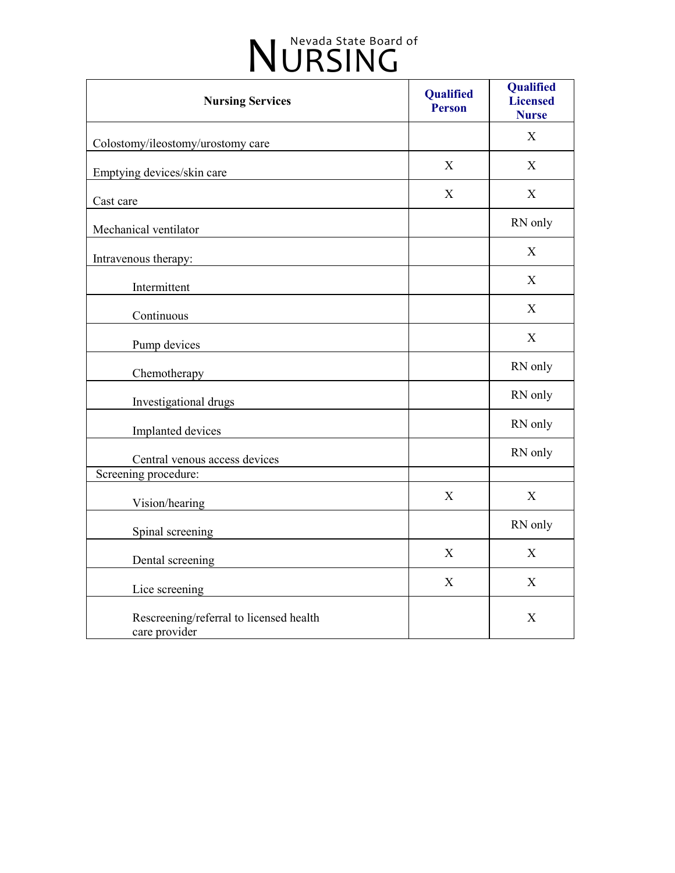| <b>Nursing Services</b>                                  | Qualified<br><b>Person</b> | Qualified<br><b>Licensed</b><br><b>Nurse</b> |
|----------------------------------------------------------|----------------------------|----------------------------------------------|
| Colostomy/ileostomy/urostomy care                        |                            | X                                            |
| Emptying devices/skin care                               | X                          | X                                            |
| Cast care                                                | X                          | X                                            |
| Mechanical ventilator                                    |                            | RN only                                      |
| Intravenous therapy:                                     |                            | X                                            |
| Intermittent                                             |                            | X                                            |
| Continuous                                               |                            | X                                            |
| Pump devices                                             |                            | $\mathbf X$                                  |
| Chemotherapy                                             |                            | RN only                                      |
| Investigational drugs                                    |                            | RN only                                      |
| Implanted devices                                        |                            | RN only                                      |
| Central venous access devices                            |                            | RN only                                      |
| Screening procedure:                                     |                            |                                              |
| Vision/hearing                                           | X                          | $\mathbf X$                                  |
| Spinal screening                                         |                            | RN only                                      |
| Dental screening                                         | $\mathbf{X}$               | X                                            |
| Lice screening                                           | X                          | X                                            |
| Rescreening/referral to licensed health<br>care provider |                            | $\mathbf X$                                  |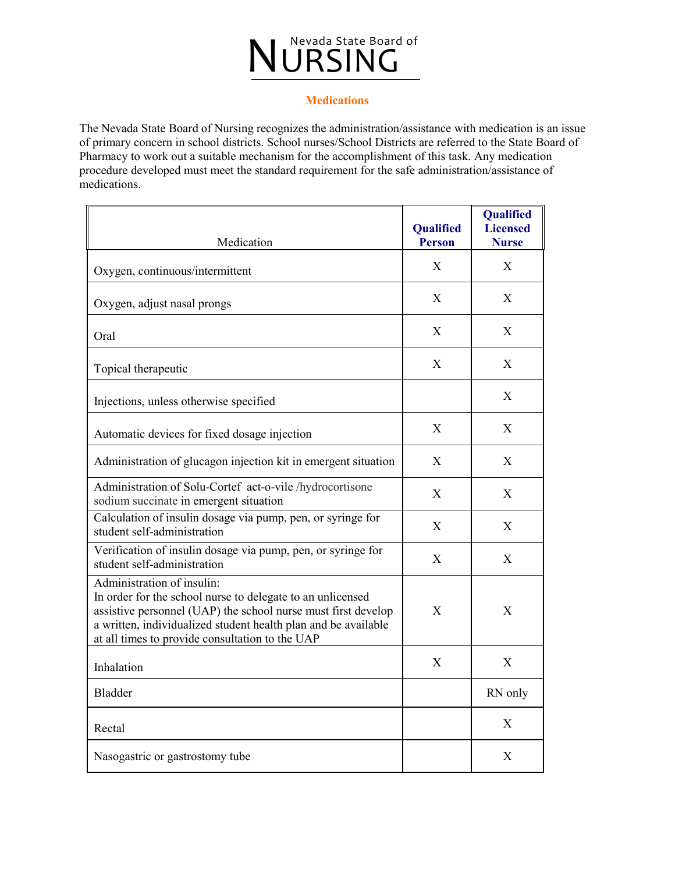#### **Medications**

The Nevada State Board of Nursing recognizes the administration/assistance with medication is an issue of primary concern in school districts. School nurses/School Districts are referred to the State Board of Pharmacy to work out a suitable mechanism for the accomplishment of this task. Any medication procedure developed must meet the standard requirement for the safe administration/assistance of medications.

| Medication                                                                                                                                                                                                                                                                     | Qualified<br><b>Person</b> | Qualified<br><b>Licensed</b><br><b>Nurse</b> |
|--------------------------------------------------------------------------------------------------------------------------------------------------------------------------------------------------------------------------------------------------------------------------------|----------------------------|----------------------------------------------|
| Oxygen, continuous/intermittent                                                                                                                                                                                                                                                | X                          | X                                            |
| Oxygen, adjust nasal prongs                                                                                                                                                                                                                                                    | X                          | X                                            |
| Oral                                                                                                                                                                                                                                                                           | X                          | X                                            |
| Topical therapeutic                                                                                                                                                                                                                                                            | X                          | X                                            |
| Injections, unless otherwise specified                                                                                                                                                                                                                                         |                            | X                                            |
| Automatic devices for fixed dosage injection                                                                                                                                                                                                                                   | X                          | X                                            |
| Administration of glucagon injection kit in emergent situation                                                                                                                                                                                                                 | $\mathbf{X}$               | X                                            |
| Administration of Solu-Cortef act-o-vile /hydrocortisone<br>sodium succinate in emergent situation                                                                                                                                                                             | $\boldsymbol{\mathrm{X}}$  | X                                            |
| Calculation of insulin dosage via pump, pen, or syringe for<br>student self-administration                                                                                                                                                                                     | X                          | X                                            |
| Verification of insulin dosage via pump, pen, or syringe for<br>student self-administration                                                                                                                                                                                    | X                          | X                                            |
| Administration of insulin:<br>In order for the school nurse to delegate to an unlicensed<br>assistive personnel (UAP) the school nurse must first develop<br>a written, individualized student health plan and be available<br>at all times to provide consultation to the UAP | X                          | X                                            |
| Inhalation                                                                                                                                                                                                                                                                     | X                          | X                                            |
| <b>Bladder</b>                                                                                                                                                                                                                                                                 |                            | RN only                                      |
| Rectal                                                                                                                                                                                                                                                                         |                            | X                                            |
| Nasogastric or gastrostomy tube                                                                                                                                                                                                                                                |                            | X                                            |